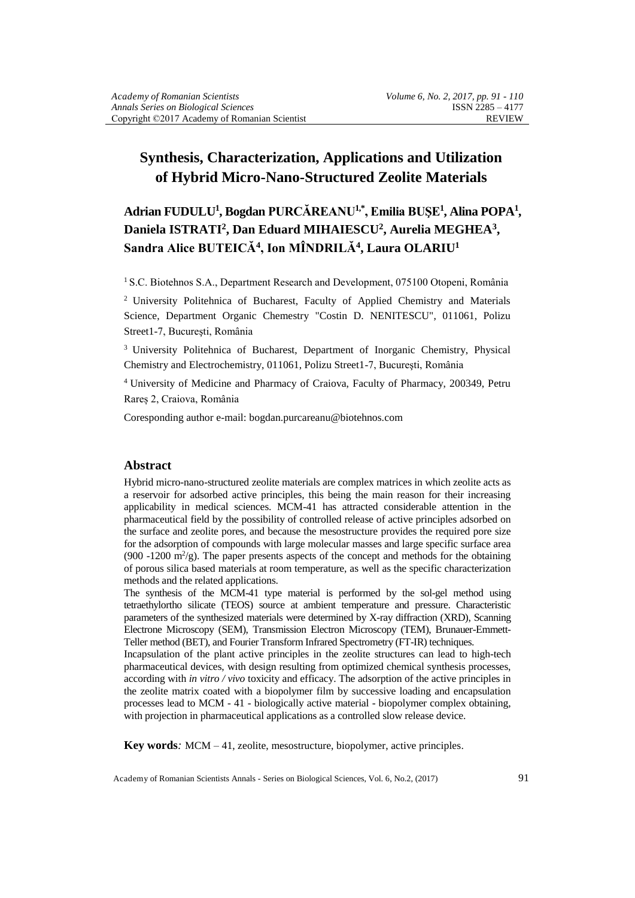# **Synthesis, Characterization, Applications and Utilization of Hybrid Micro-Nano-Structured Zeolite Materials**

**Adrian FUDULU<sup>1</sup> , Bogdan PURCĂREANU1,\*, Emilia BUŞE<sup>1</sup> , Alina POPA<sup>1</sup> ,**  Daniela ISTRATI<sup>2</sup>, Dan Eduard MIHAIESCU<sup>2</sup>, Aurelia MEGHEA<sup>3</sup>, **Sandra Alice BUTEICĂ<sup>4</sup> , Ion MÎNDRILĂ<sup>4</sup> , Laura OLARIU<sup>1</sup>**

<sup>1</sup> S.C. Biotehnos S.A., Department Research and Development, 075100 Otopeni, România

<sup>2</sup> University Politehnica of Bucharest, Faculty of Applied Chemistry and Materials Science, Department Organic Chemestry "Costin D. NENITESCU", 011061, Polizu Street1-7, Bucureşti, România

<sup>3</sup> University Politehnica of Bucharest, Department of Inorganic Chemistry, Physical Chemistry and Electrochemistry, 011061, Polizu Street1-7, Bucureşti, România

<sup>4</sup>University of Medicine and Pharmacy of Craiova, Faculty of Pharmacy, 200349, Petru Rareș 2, Craiova, România

Coresponding author e-mail: bogdan.purcareanu@biotehnos.com

#### **Abstract**

Hybrid micro-nano-structured zeolite materials are complex matrices in which zeolite acts as a reservoir for adsorbed active principles, this being the main reason for their increasing applicability in medical sciences. MCM-41 has attracted considerable attention in the pharmaceutical field by the possibility of controlled release of active principles adsorbed on the surface and zeolite pores, and because the mesostructure provides the required pore size for the adsorption of compounds with large molecular masses and large specific surface area (900 -1200  $\text{m}^2/\text{g}$ ). The paper presents aspects of the concept and methods for the obtaining of porous silica based materials at room temperature, as well as the specific characterization methods and the related applications.

The synthesis of the MCM-41 type material is performed by the sol-gel method using tetraethylortho silicate (TEOS) source at ambient temperature and pressure. Characteristic parameters of the synthesized materials were determined by X-ray diffraction (XRD), Scanning Electrone Microscopy (SEM), Transmission Electron Microscopy (TEM), Brunauer-Emmett-Teller method (BET), and Fourier Transform Infrared Spectrometry (FT-IR) techniques.

Incapsulation of the plant active principles in the zeolite structures can lead to high-tech pharmaceutical devices, with design resulting from optimized chemical synthesis processes, according with *in vitro / vivo* toxicity and efficacy. The adsorption of the active principles in the zeolite matrix coated with a biopolymer film by successive loading and encapsulation processes lead to MCM - 41 - biologically active material - biopolymer complex obtaining, with projection in pharmaceutical applications as a controlled slow release device.

**Key words***:* MCM – 41, zeolite, mesostructure, biopolymer, active principles.

Academy of Romanian Scientists Annals - Series on Biological Sciences, Vol. 6, No.2, (2017) 91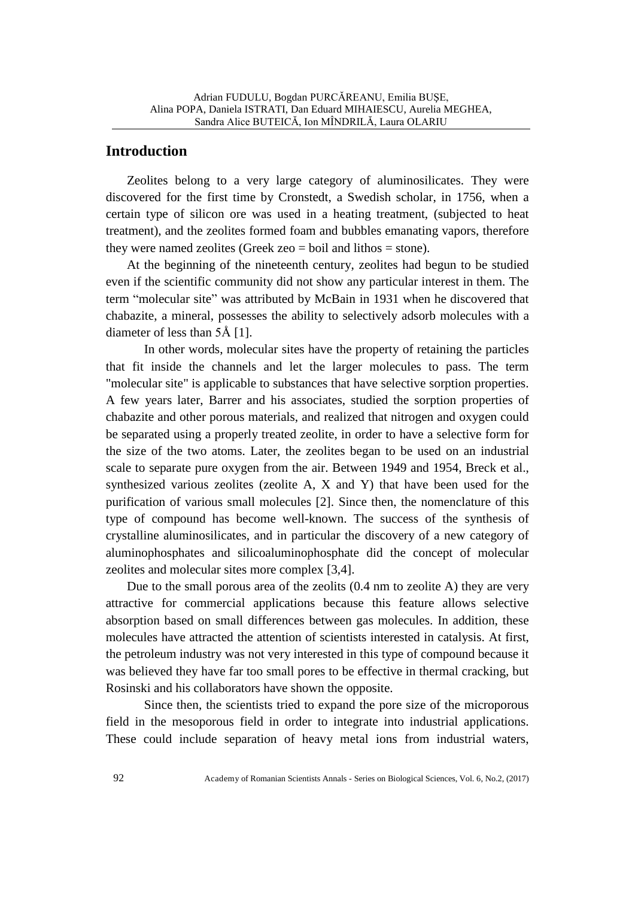### **Introduction**

Zeolites belong to a very large category of aluminosilicates. They were discovered for the first time by Cronstedt, a Swedish scholar, in 1756, when a certain type of silicon ore was used in a heating treatment, (subjected to heat treatment), and the zeolites formed foam and bubbles emanating vapors, therefore they were named zeolites (Greek zeo = boil and lithos = stone).

At the beginning of the nineteenth century, zeolites had begun to be studied even if the scientific community did not show any particular interest in them. The term "molecular site" was attributed by McBain in 1931 when he discovered that chabazite, a mineral, possesses the ability to selectively adsorb molecules with a diameter of less than 5Å [1].

In other words, molecular sites have the property of retaining the particles that fit inside the channels and let the larger molecules to pass. The term "molecular site" is applicable to substances that have selective sorption properties. A few years later, Barrer and his associates, studied the sorption properties of chabazite and other porous materials, and realized that nitrogen and oxygen could be separated using a properly treated zeolite, in order to have a selective form for the size of the two atoms. Later, the zeolites began to be used on an industrial scale to separate pure oxygen from the air. Between 1949 and 1954, Breck et al., synthesized various zeolites (zeolite A, X and Y) that have been used for the purification of various small molecules [2]. Since then, the nomenclature of this type of compound has become well-known. The success of the synthesis of crystalline aluminosilicates, and in particular the discovery of a new category of aluminophosphates and silicoaluminophosphate did the concept of molecular zeolites and molecular sites more complex [3,4].

Due to the small porous area of the zeolits (0.4 nm to zeolite A) they are very attractive for commercial applications because this feature allows selective absorption based on small differences between gas molecules. In addition, these molecules have attracted the attention of scientists interested in catalysis. At first, the petroleum industry was not very interested in this type of compound because it was believed they have far too small pores to be effective in thermal cracking, but Rosinski and his collaborators have shown the opposite.

Since then, the scientists tried to expand the pore size of the microporous field in the mesoporous field in order to integrate into industrial applications. These could include separation of heavy metal ions from industrial waters,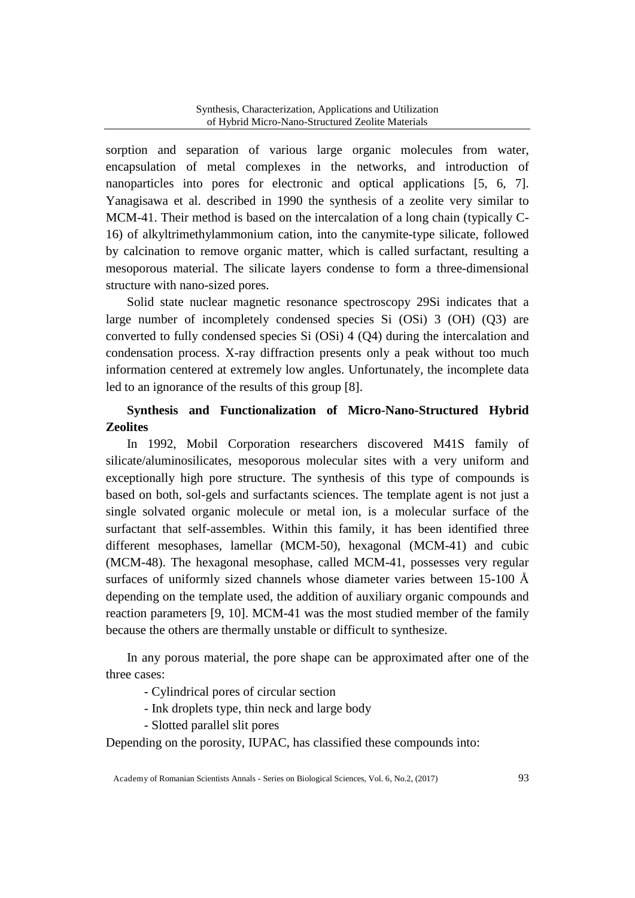sorption and separation of various large organic molecules from water, encapsulation of metal complexes in the networks, and introduction of nanoparticles into pores for electronic and optical applications [5, 6, 7]. Yanagisawa et al. described in 1990 the synthesis of a zeolite very similar to MCM-41. Their method is based on the intercalation of a long chain (typically C-16) of alkyltrimethylammonium cation, into the canymite-type silicate, followed by calcination to remove organic matter, which is called surfactant, resulting a mesoporous material. The silicate layers condense to form a three-dimensional structure with nano-sized pores.

Solid state nuclear magnetic resonance spectroscopy 29Si indicates that a large number of incompletely condensed species Si (OSi) 3 (OH) (Q3) are converted to fully condensed species Si (OSi) 4 (Q4) during the intercalation and condensation process. X-ray diffraction presents only a peak without too much information centered at extremely low angles. Unfortunately, the incomplete data led to an ignorance of the results of this group [8].

## **Synthesis and Functionalization of Micro-Nano-Structured Hybrid Zeolites**

In 1992, Mobil Corporation researchers discovered M41S family of silicate/aluminosilicates, mesoporous molecular sites with a very uniform and exceptionally high pore structure. The synthesis of this type of compounds is based on both, sol-gels and surfactants sciences. The template agent is not just a single solvated organic molecule or metal ion, is a molecular surface of the surfactant that self-assembles. Within this family, it has been identified three different mesophases, lamellar (MCM-50), hexagonal (MCM-41) and cubic (MCM-48). The hexagonal mesophase, called MCM-41, possesses very regular surfaces of uniformly sized channels whose diameter varies between 15-100 Å depending on the template used, the addition of auxiliary organic compounds and reaction parameters [9, 10]. MCM-41 was the most studied member of the family because the others are thermally unstable or difficult to synthesize.

In any porous material, the pore shape can be approximated after one of the three cases:

- Cylindrical pores of circular section

- Ink droplets type, thin neck and large body
- Slotted parallel slit pores

Depending on the porosity, IUPAC, has classified these compounds into:

Academy of Romanian Scientists Annals - Series on Biological Sciences, Vol. 6, No.2, (2017) 93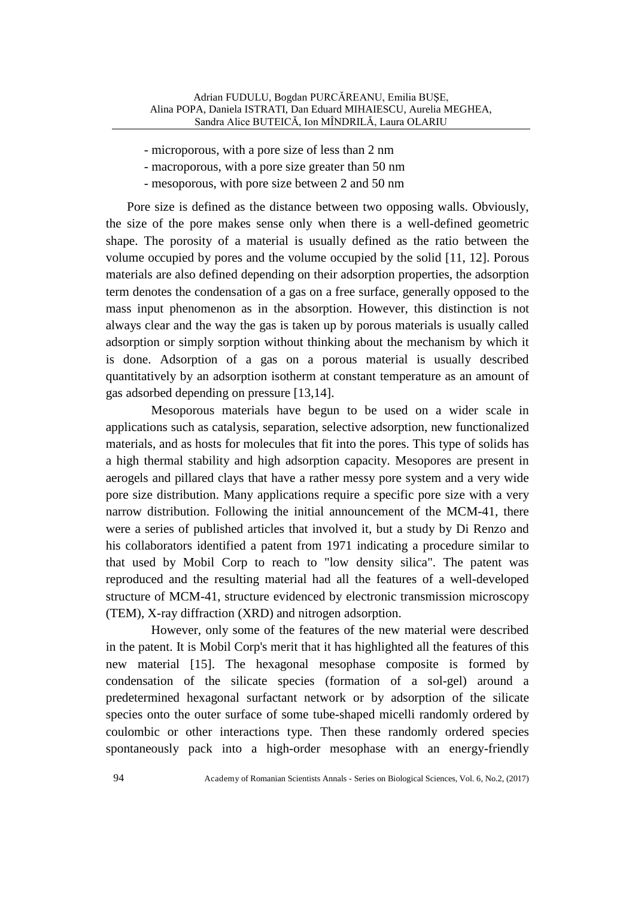- microporous, with a pore size of less than 2 nm
- macroporous, with a pore size greater than 50 nm
- mesoporous, with pore size between 2 and 50 nm

Pore size is defined as the distance between two opposing walls. Obviously, the size of the pore makes sense only when there is a well-defined geometric shape. The porosity of a material is usually defined as the ratio between the volume occupied by pores and the volume occupied by the solid [11, 12]. Porous materials are also defined depending on their adsorption properties, the adsorption term denotes the condensation of a gas on a free surface, generally opposed to the mass input phenomenon as in the absorption. However, this distinction is not always clear and the way the gas is taken up by porous materials is usually called adsorption or simply sorption without thinking about the mechanism by which it is done. Adsorption of a gas on a porous material is usually described quantitatively by an adsorption isotherm at constant temperature as an amount of gas adsorbed depending on pressure [13,14].

Mesoporous materials have begun to be used on a wider scale in applications such as catalysis, separation, selective adsorption, new functionalized materials, and as hosts for molecules that fit into the pores. This type of solids has a high thermal stability and high adsorption capacity. Mesopores are present in aerogels and pillared clays that have a rather messy pore system and a very wide pore size distribution. Many applications require a specific pore size with a very narrow distribution. Following the initial announcement of the MCM-41, there were a series of published articles that involved it, but a study by Di Renzo and his collaborators identified a patent from 1971 indicating a procedure similar to that used by Mobil Corp to reach to "low density silica". The patent was reproduced and the resulting material had all the features of a well-developed structure of MCM-41, structure evidenced by electronic transmission microscopy (TEM), X-ray diffraction (XRD) and nitrogen adsorption.

However, only some of the features of the new material were described in the patent. It is Mobil Corp's merit that it has highlighted all the features of this new material [15]. The hexagonal mesophase composite is formed by condensation of the silicate species (formation of a sol-gel) around a predetermined hexagonal surfactant network or by adsorption of the silicate species onto the outer surface of some tube-shaped micelli randomly ordered by coulombic or other interactions type. Then these randomly ordered species spontaneously pack into a high-order mesophase with an energy-friendly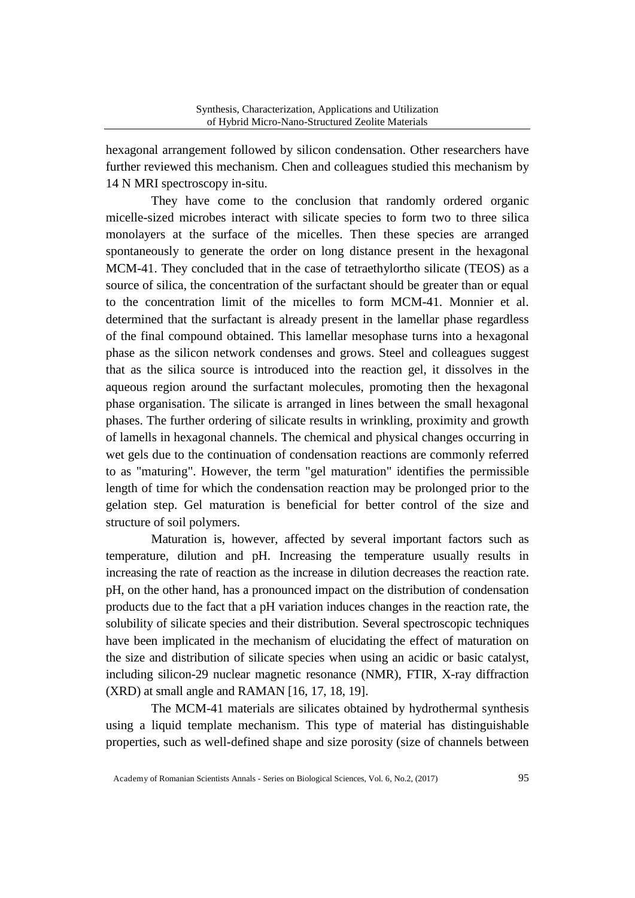hexagonal arrangement followed by silicon condensation. Other researchers have further reviewed this mechanism. Chen and colleagues studied this mechanism by 14 N MRI spectroscopy in-situ.

They have come to the conclusion that randomly ordered organic micelle-sized microbes interact with silicate species to form two to three silica monolayers at the surface of the micelles. Then these species are arranged spontaneously to generate the order on long distance present in the hexagonal MCM-41. They concluded that in the case of tetraethylortho silicate (TEOS) as a source of silica, the concentration of the surfactant should be greater than or equal to the concentration limit of the micelles to form MCM-41. Monnier et al. determined that the surfactant is already present in the lamellar phase regardless of the final compound obtained. This lamellar mesophase turns into a hexagonal phase as the silicon network condenses and grows. Steel and colleagues suggest that as the silica source is introduced into the reaction gel, it dissolves in the aqueous region around the surfactant molecules, promoting then the hexagonal phase organisation. The silicate is arranged in lines between the small hexagonal phases. The further ordering of silicate results in wrinkling, proximity and growth of lamells in hexagonal channels. The chemical and physical changes occurring in wet gels due to the continuation of condensation reactions are commonly referred to as "maturing". However, the term "gel maturation" identifies the permissible length of time for which the condensation reaction may be prolonged prior to the gelation step. Gel maturation is beneficial for better control of the size and structure of soil polymers.

Maturation is, however, affected by several important factors such as temperature, dilution and pH. Increasing the temperature usually results in increasing the rate of reaction as the increase in dilution decreases the reaction rate. pH, on the other hand, has a pronounced impact on the distribution of condensation products due to the fact that a pH variation induces changes in the reaction rate, the solubility of silicate species and their distribution. Several spectroscopic techniques have been implicated in the mechanism of elucidating the effect of maturation on the size and distribution of silicate species when using an acidic or basic catalyst, including silicon-29 nuclear magnetic resonance (NMR), FTIR, X-ray diffraction (XRD) at small angle and RAMAN [16, 17, 18, 19].

The MCM-41 materials are silicates obtained by hydrothermal synthesis using a liquid template mechanism. This type of material has distinguishable properties, such as well-defined shape and size porosity (size of channels between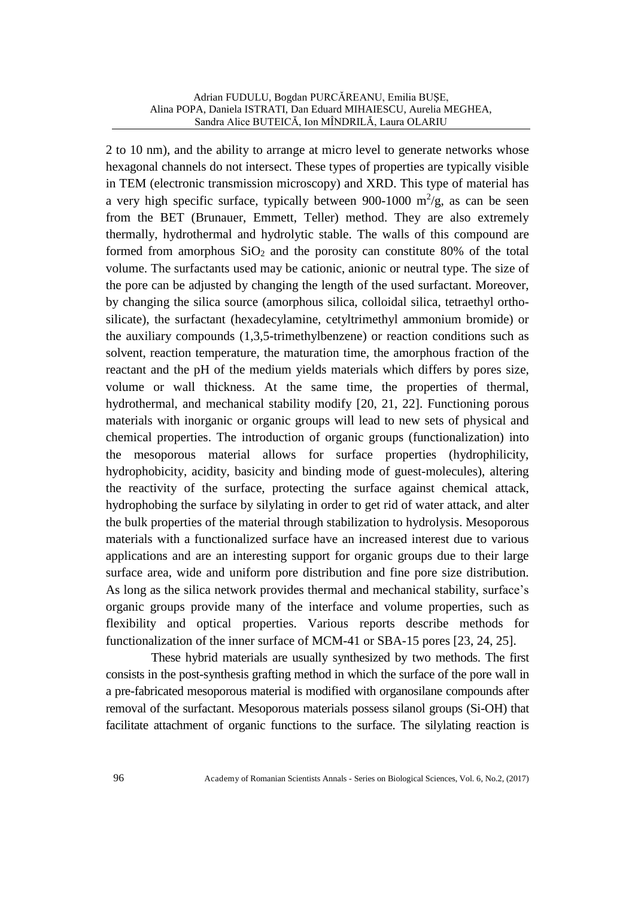2 to 10 nm), and the ability to arrange at micro level to generate networks whose hexagonal channels do not intersect. These types of properties are typically visible in TEM (electronic transmission microscopy) and XRD. This type of material has a very high specific surface, typically between 900-1000  $\mathrm{m}^2/\mathrm{g}$ , as can be seen from the BET (Brunauer, Emmett, Teller) method. They are also extremely thermally, hydrothermal and hydrolytic stable. The walls of this compound are formed from amorphous  $SiO<sub>2</sub>$  and the porosity can constitute 80% of the total volume. The surfactants used may be cationic, anionic or neutral type. The size of the pore can be adjusted by changing the length of the used surfactant. Moreover, by changing the silica source (amorphous silica, colloidal silica, tetraethyl orthosilicate), the surfactant (hexadecylamine, cetyltrimethyl ammonium bromide) or the auxiliary compounds (1,3,5-trimethylbenzene) or reaction conditions such as solvent, reaction temperature, the maturation time, the amorphous fraction of the reactant and the pH of the medium yields materials which differs by pores size, volume or wall thickness. At the same time, the properties of thermal, hydrothermal, and mechanical stability modify [20, 21, 22]. Functioning porous materials with inorganic or organic groups will lead to new sets of physical and chemical properties. The introduction of organic groups (functionalization) into the mesoporous material allows for surface properties (hydrophilicity, hydrophobicity, acidity, basicity and binding mode of guest-molecules), altering the reactivity of the surface, protecting the surface against chemical attack, hydrophobing the surface by silylating in order to get rid of water attack, and alter the bulk properties of the material through stabilization to hydrolysis. Mesoporous materials with a functionalized surface have an increased interest due to various applications and are an interesting support for organic groups due to their large surface area, wide and uniform pore distribution and fine pore size distribution. As long as the silica network provides thermal and mechanical stability, surface's organic groups provide many of the interface and volume properties, such as flexibility and optical properties. Various reports describe methods for functionalization of the inner surface of MCM-41 or SBA-15 pores [23, 24, 25].

These hybrid materials are usually synthesized by two methods. The first consists in the post-synthesis grafting method in which the surface of the pore wall in a pre-fabricated mesoporous material is modified with organosilane compounds after removal of the surfactant. Mesoporous materials possess silanol groups (Si-OH) that facilitate attachment of organic functions to the surface. The silylating reaction is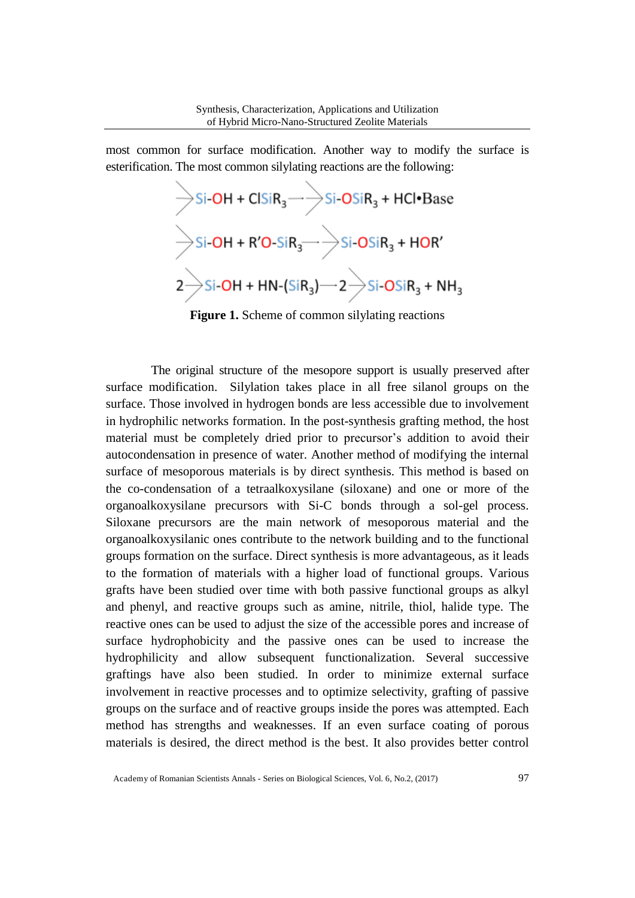most common for surface modification. Another way to modify the surface is esterification. The most common silylating reactions are the following:

$$
\begin{array}{l}\n\bigg\rightarrow \text{Si-OH} + \text{CIsiR}_{3} \longrightarrow \text{Si-OSiR}_{3} + \text{HCl} \cdot \text{Base} \\
\bigg\rightarrow \text{Si-OH} + \text{R'O-SiR}_{3} \longrightarrow \text{Si-OSiR}_{3} + \text{HOR}' \\
2 \bigg\rightarrow \text{Si-OH} + \text{HN-(SiR}_{3}) \longrightarrow 2 \bigg\rightarrow \text{Si-OSiR}_{3} + \text{NH}_{3}\n\end{array}
$$

**Figure 1.** Scheme of common silylating reactions

The original structure of the mesopore support is usually preserved after surface modification. Silylation takes place in all free silanol groups on the surface. Those involved in hydrogen bonds are less accessible due to involvement in hydrophilic networks formation. In the post-synthesis grafting method, the host material must be completely dried prior to precursor's addition to avoid their autocondensation in presence of water. Another method of modifying the internal surface of mesoporous materials is by direct synthesis. This method is based on the co-condensation of a tetraalkoxysilane (siloxane) and one or more of the organoalkoxysilane precursors with Si-C bonds through a sol-gel process. Siloxane precursors are the main network of mesoporous material and the organoalkoxysilanic ones contribute to the network building and to the functional groups formation on the surface. Direct synthesis is more advantageous, as it leads to the formation of materials with a higher load of functional groups. Various grafts have been studied over time with both passive functional groups as alkyl and phenyl, and reactive groups such as amine, nitrile, thiol, halide type. The reactive ones can be used to adjust the size of the accessible pores and increase of surface hydrophobicity and the passive ones can be used to increase the hydrophilicity and allow subsequent functionalization. Several successive graftings have also been studied. In order to minimize external surface involvement in reactive processes and to optimize selectivity, grafting of passive groups on the surface and of reactive groups inside the pores was attempted. Each method has strengths and weaknesses. If an even surface coating of porous materials is desired, the direct method is the best. It also provides better control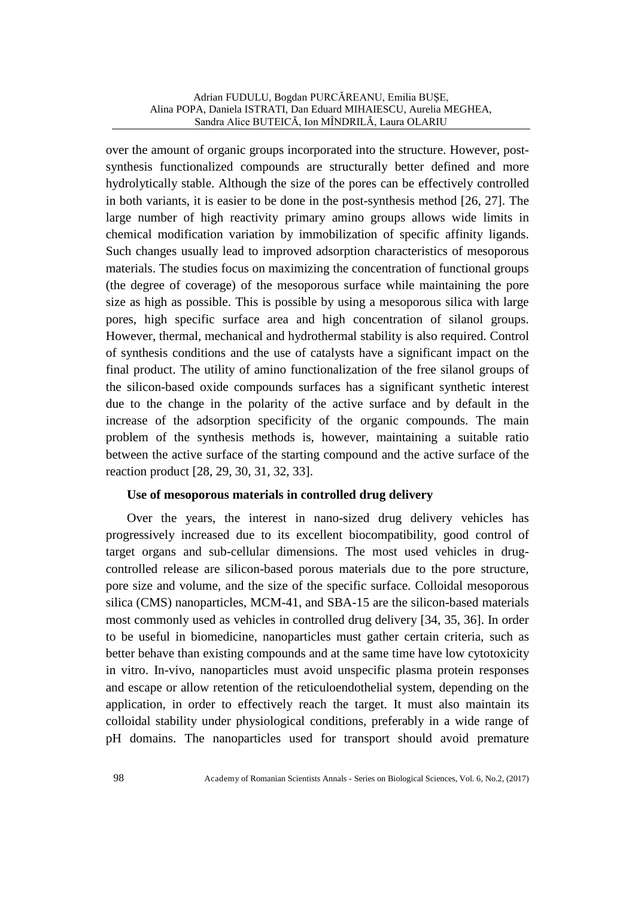over the amount of organic groups incorporated into the structure. However, postsynthesis functionalized compounds are structurally better defined and more hydrolytically stable. Although the size of the pores can be effectively controlled in both variants, it is easier to be done in the post-synthesis method [26, 27]. The large number of high reactivity primary amino groups allows wide limits in chemical modification variation by immobilization of specific affinity ligands. Such changes usually lead to improved adsorption characteristics of mesoporous materials. The studies focus on maximizing the concentration of functional groups (the degree of coverage) of the mesoporous surface while maintaining the pore size as high as possible. This is possible by using a mesoporous silica with large pores, high specific surface area and high concentration of silanol groups. However, thermal, mechanical and hydrothermal stability is also required. Control of synthesis conditions and the use of catalysts have a significant impact on the final product. The utility of amino functionalization of the free silanol groups of the silicon-based oxide compounds surfaces has a significant synthetic interest due to the change in the polarity of the active surface and by default in the increase of the adsorption specificity of the organic compounds. The main problem of the synthesis methods is, however, maintaining a suitable ratio between the active surface of the starting compound and the active surface of the reaction product [28, 29, 30, 31, 32, 33].

### **Use of mesoporous materials in controlled drug delivery**

Over the years, the interest in nano-sized drug delivery vehicles has progressively increased due to its excellent biocompatibility, good control of target organs and sub-cellular dimensions. The most used vehicles in drugcontrolled release are silicon-based porous materials due to the pore structure, pore size and volume, and the size of the specific surface. Colloidal mesoporous silica (CMS) nanoparticles, MCM-41, and SBA-15 are the silicon-based materials most commonly used as vehicles in controlled drug delivery [34, 35, 36]. In order to be useful in biomedicine, nanoparticles must gather certain criteria, such as better behave than existing compounds and at the same time have low cytotoxicity in vitro. In-vivo, nanoparticles must avoid unspecific plasma protein responses and escape or allow retention of the reticuloendothelial system, depending on the application, in order to effectively reach the target. It must also maintain its colloidal stability under physiological conditions, preferably in a wide range of pH domains. The nanoparticles used for transport should avoid premature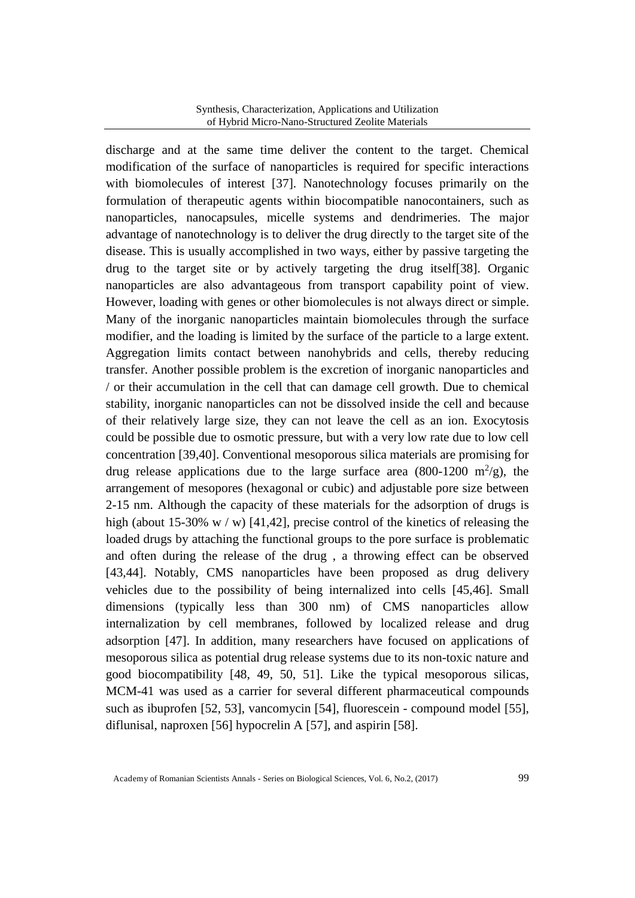discharge and at the same time deliver the content to the target. Chemical modification of the surface of nanoparticles is required for specific interactions with biomolecules of interest [37]. Nanotechnology focuses primarily on the formulation of therapeutic agents within biocompatible nanocontainers, such as nanoparticles, nanocapsules, micelle systems and dendrimeries. The major advantage of nanotechnology is to deliver the drug directly to the target site of the disease. This is usually accomplished in two ways, either by passive targeting the drug to the target site or by actively targeting the drug itself[38]. Organic nanoparticles are also advantageous from transport capability point of view. However, loading with genes or other biomolecules is not always direct or simple. Many of the inorganic nanoparticles maintain biomolecules through the surface modifier, and the loading is limited by the surface of the particle to a large extent. Aggregation limits contact between nanohybrids and cells, thereby reducing transfer. Another possible problem is the excretion of inorganic nanoparticles and / or their accumulation in the cell that can damage cell growth. Due to chemical stability, inorganic nanoparticles can not be dissolved inside the cell and because of their relatively large size, they can not leave the cell as an ion. Exocytosis could be possible due to osmotic pressure, but with a very low rate due to low cell concentration [39,40]. Conventional mesoporous silica materials are promising for drug release applications due to the large surface area (800-1200  $\mathrm{m}^2/\mathrm{g}$ ), the arrangement of mesopores (hexagonal or cubic) and adjustable pore size between 2-15 nm. Although the capacity of these materials for the adsorption of drugs is high (about 15-30% w / w) [41,42], precise control of the kinetics of releasing the loaded drugs by attaching the functional groups to the pore surface is problematic and often during the release of the drug , a throwing effect can be observed [43,44]. Notably, CMS nanoparticles have been proposed as drug delivery vehicles due to the possibility of being internalized into cells [45,46]. Small dimensions (typically less than 300 nm) of CMS nanoparticles allow internalization by cell membranes, followed by localized release and drug adsorption [47]. In addition, many researchers have focused on applications of mesoporous silica as potential drug release systems due to its non-toxic nature and good biocompatibility [48, 49, 50, 51]. Like the typical mesoporous silicas, MCM-41 was used as a carrier for several different pharmaceutical compounds such as ibuprofen [52, 53], vancomycin [54], fluorescein - compound model [55], diflunisal, naproxen [56] hypocrelin A [57], and aspirin [58].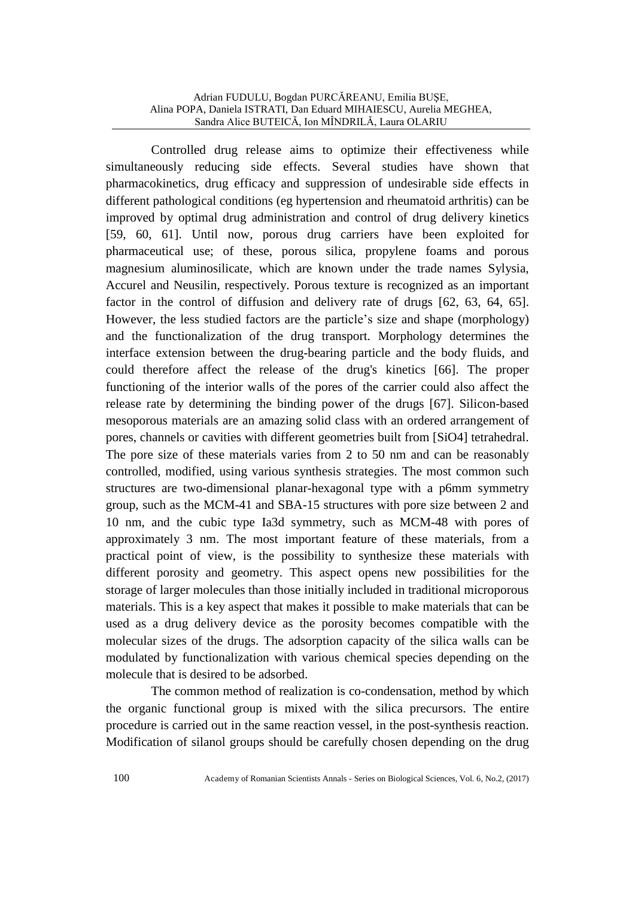Controlled drug release aims to optimize their effectiveness while simultaneously reducing side effects. Several studies have shown that pharmacokinetics, drug efficacy and suppression of undesirable side effects in different pathological conditions (eg hypertension and rheumatoid arthritis) can be improved by optimal drug administration and control of drug delivery kinetics [59, 60, 61]. Until now, porous drug carriers have been exploited for pharmaceutical use; of these, porous silica, propylene foams and porous magnesium aluminosilicate, which are known under the trade names Sylysia, Accurel and Neusilin, respectively. Porous texture is recognized as an important factor in the control of diffusion and delivery rate of drugs [62, 63, 64, 65]. However, the less studied factors are the particle's size and shape (morphology) and the functionalization of the drug transport. Morphology determines the interface extension between the drug-bearing particle and the body fluids, and could therefore affect the release of the drug's kinetics [66]. The proper functioning of the interior walls of the pores of the carrier could also affect the release rate by determining the binding power of the drugs [67]. Silicon-based mesoporous materials are an amazing solid class with an ordered arrangement of pores, channels or cavities with different geometries built from [SiO4] tetrahedral. The pore size of these materials varies from 2 to 50 nm and can be reasonably controlled, modified, using various synthesis strategies. The most common such structures are two-dimensional planar-hexagonal type with a p6mm symmetry group, such as the MCM-41 and SBA-15 structures with pore size between 2 and 10 nm, and the cubic type Ia3d symmetry, such as MCM-48 with pores of approximately 3 nm. The most important feature of these materials, from a practical point of view, is the possibility to synthesize these materials with different porosity and geometry. This aspect opens new possibilities for the storage of larger molecules than those initially included in traditional microporous materials. This is a key aspect that makes it possible to make materials that can be used as a drug delivery device as the porosity becomes compatible with the molecular sizes of the drugs. The adsorption capacity of the silica walls can be modulated by functionalization with various chemical species depending on the molecule that is desired to be adsorbed.

The common method of realization is co-condensation, method by which the organic functional group is mixed with the silica precursors. The entire procedure is carried out in the same reaction vessel, in the post-synthesis reaction. Modification of silanol groups should be carefully chosen depending on the drug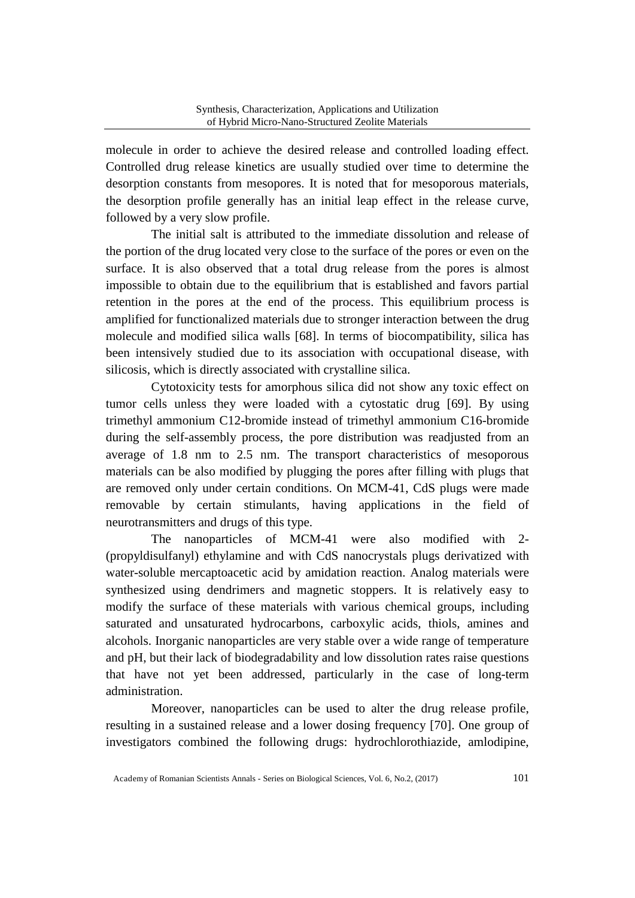molecule in order to achieve the desired release and controlled loading effect. Controlled drug release kinetics are usually studied over time to determine the desorption constants from mesopores. It is noted that for mesoporous materials, the desorption profile generally has an initial leap effect in the release curve, followed by a very slow profile.

The initial salt is attributed to the immediate dissolution and release of the portion of the drug located very close to the surface of the pores or even on the surface. It is also observed that a total drug release from the pores is almost impossible to obtain due to the equilibrium that is established and favors partial retention in the pores at the end of the process. This equilibrium process is amplified for functionalized materials due to stronger interaction between the drug molecule and modified silica walls [68]. In terms of biocompatibility, silica has been intensively studied due to its association with occupational disease, with silicosis, which is directly associated with crystalline silica.

Cytotoxicity tests for amorphous silica did not show any toxic effect on tumor cells unless they were loaded with a cytostatic drug [69]. By using trimethyl ammonium C12-bromide instead of trimethyl ammonium C16-bromide during the self-assembly process, the pore distribution was readjusted from an average of 1.8 nm to 2.5 nm. The transport characteristics of mesoporous materials can be also modified by plugging the pores after filling with plugs that are removed only under certain conditions. On MCM-41, CdS plugs were made removable by certain stimulants, having applications in the field of neurotransmitters and drugs of this type.

The nanoparticles of MCM-41 were also modified with 2- (propyldisulfanyl) ethylamine and with CdS nanocrystals plugs derivatized with water-soluble mercaptoacetic acid by amidation reaction. Analog materials were synthesized using dendrimers and magnetic stoppers. It is relatively easy to modify the surface of these materials with various chemical groups, including saturated and unsaturated hydrocarbons, carboxylic acids, thiols, amines and alcohols. Inorganic nanoparticles are very stable over a wide range of temperature and pH, but their lack of biodegradability and low dissolution rates raise questions that have not yet been addressed, particularly in the case of long-term administration.

Moreover, nanoparticles can be used to alter the drug release profile, resulting in a sustained release and a lower dosing frequency [70]. One group of investigators combined the following drugs: hydrochlorothiazide, amlodipine,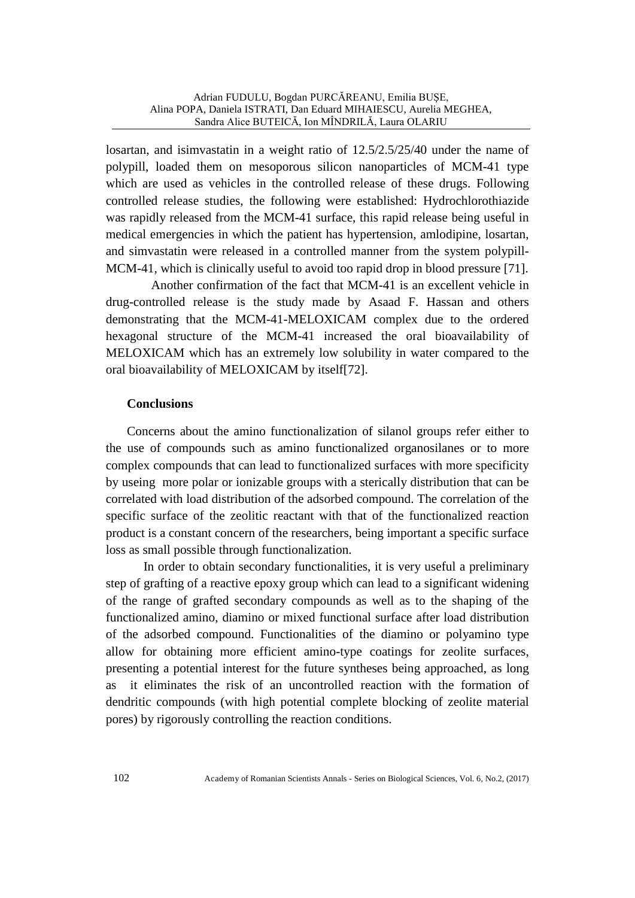losartan, and isimvastatin in a weight ratio of 12.5/2.5/25/40 under the name of polypill, loaded them on mesoporous silicon nanoparticles of MCM-41 type which are used as vehicles in the controlled release of these drugs. Following controlled release studies, the following were established: Hydrochlorothiazide was rapidly released from the MCM-41 surface, this rapid release being useful in medical emergencies in which the patient has hypertension, amlodipine, losartan, and simvastatin were released in a controlled manner from the system polypill-MCM-41, which is clinically useful to avoid too rapid drop in blood pressure [71].

Another confirmation of the fact that MCM-41 is an excellent vehicle in drug-controlled release is the study made by Asaad F. Hassan and others demonstrating that the MCM-41-MELOXICAM complex due to the ordered hexagonal structure of the MCM-41 increased the oral bioavailability of MELOXICAM which has an extremely low solubility in water compared to the oral bioavailability of MELOXICAM by itself[72].

### **Conclusions**

Concerns about the amino functionalization of silanol groups refer either to the use of compounds such as amino functionalized organosilanes or to more complex compounds that can lead to functionalized surfaces with more specificity by useing more polar or ionizable groups with a sterically distribution that can be correlated with load distribution of the adsorbed compound. The correlation of the specific surface of the zeolitic reactant with that of the functionalized reaction product is a constant concern of the researchers, being important a specific surface loss as small possible through functionalization.

In order to obtain secondary functionalities, it is very useful a preliminary step of grafting of a reactive epoxy group which can lead to a significant widening of the range of grafted secondary compounds as well as to the shaping of the functionalized amino, diamino or mixed functional surface after load distribution of the adsorbed compound. Functionalities of the diamino or polyamino type allow for obtaining more efficient amino-type coatings for zeolite surfaces, presenting a potential interest for the future syntheses being approached, as long as it eliminates the risk of an uncontrolled reaction with the formation of dendritic compounds (with high potential complete blocking of zeolite material pores) by rigorously controlling the reaction conditions.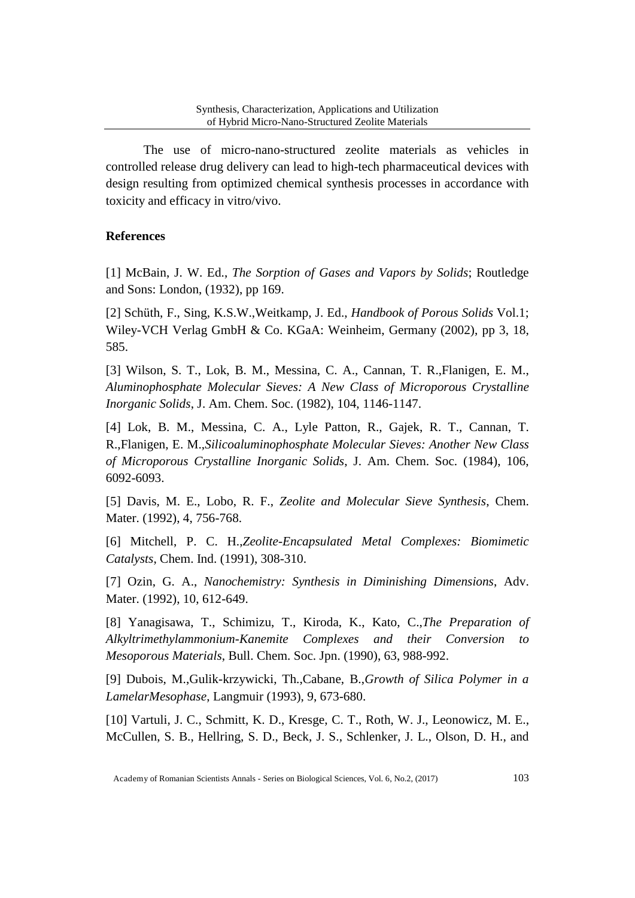The use of micro-nano-structured zeolite materials as vehicles in controlled release drug delivery can lead to high-tech pharmaceutical devices with design resulting from optimized chemical synthesis processes in accordance with toxicity and efficacy in vitro/vivo.

### **References**

[1] McBain, J. W. Ed., *The Sorption of Gases and Vapors by Solids*; Routledge and Sons: London, (1932), pp 169.

[2] Schüth, F., Sing, K.S.W.,Weitkamp, J. Ed., *Handbook of Porous Solids* Vol.1; Wiley-VCH Verlag GmbH & Co. KGaA: Weinheim, Germany (2002), pp 3, 18, 585.

[3] Wilson, S. T., Lok, B. M., Messina, C. A., Cannan, T. R.,Flanigen, E. M., *Aluminophosphate Molecular Sieves: A New Class of Microporous Crystalline Inorganic Solids*, J. Am. Chem. Soc. (1982), 104, 1146-1147.

[4] Lok, B. M., Messina, C. A., Lyle Patton, R., Gajek, R. T., Cannan, T. R.,Flanigen, E. M.,*Silicoaluminophosphate Molecular Sieves: Another New Class of Microporous Crystalline Inorganic Solids*, J. Am. Chem. Soc. (1984), 106, 6092-6093.

[5] Davis, M. E., Lobo, R. F., *Zeolite and Molecular Sieve Synthesis*, Chem. Mater. (1992), 4, 756-768.

[6] Mitchell, P. C. H.,*Zeolite-Encapsulated Metal Complexes: Biomimetic Catalysts*, Chem. Ind. (1991), 308-310.

[7] Ozin, G. A., *Nanochemistry: Synthesis in Diminishing Dimensions*, Adv. Mater. (1992), 10, 612-649.

[8] Yanagisawa, T., Schimizu, T., Kiroda, K., Kato, C.,*The Preparation of Alkyltrimethylammonium-Kanemite Complexes and their Conversion to Mesoporous Materials*, Bull. Chem. Soc. Jpn. (1990), 63, 988-992.

[9] Dubois, M.,Gulik-krzywicki, Th.,Cabane, B.,*Growth of Silica Polymer in a LamelarMesophase*, Langmuir (1993), 9, 673-680.

[10] Vartuli, J. C., Schmitt, K. D., Kresge, C. T., Roth, W. J., Leonowicz, M. E., McCullen, S. B., Hellring, S. D., Beck, J. S., Schlenker, J. L., Olson, D. H., and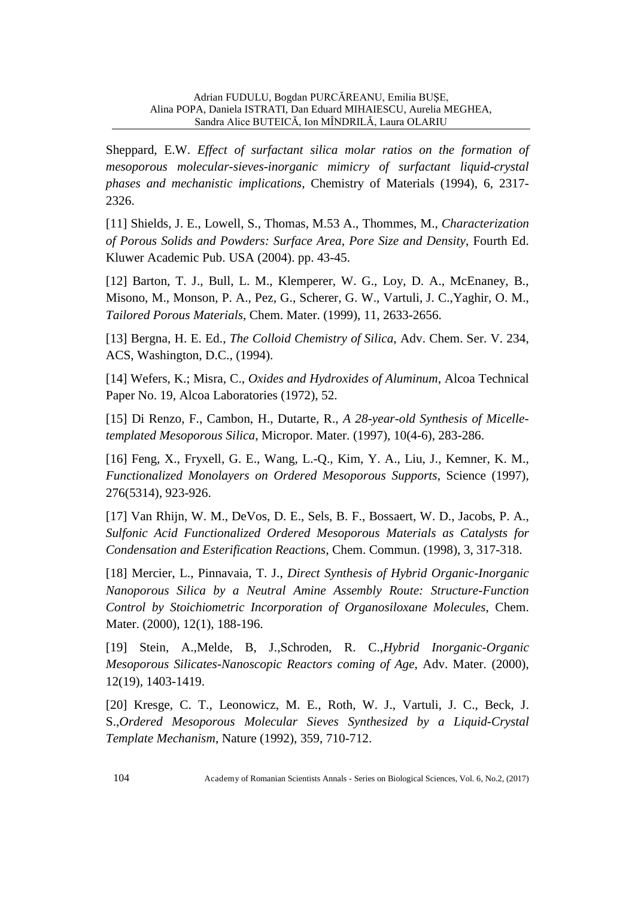Sheppard, E.W. *Effect of surfactant silica molar ratios on the formation of mesoporous molecular-sieves-inorganic mimicry of surfactant liquid-crystal phases and mechanistic implications*, Chemistry of Materials (1994), 6, 2317- 2326.

[11] Shields, J. E., Lowell, S., Thomas, M.53 A., Thommes, M., *Characterization of Porous Solids and Powders: Surface Area, Pore Size and Density*, Fourth Ed. Kluwer Academic Pub. USA (2004). pp. 43-45.

[12] Barton, T. J., Bull, L. M., Klemperer, W. G., Loy, D. A., McEnaney, B., Misono, M., Monson, P. A., Pez, G., Scherer, G. W., Vartuli, J. C.,Yaghir, O. M., *Tailored Porous Materials*, Chem. Mater. (1999), 11, 2633-2656.

[13] Bergna, H. E. Ed., *The Colloid Chemistry of Silica*, Adv. Chem. Ser. V. 234, ACS, Washington, D.C., (1994).

[14] Wefers, K.; Misra, C., *Oxides and Hydroxides of Aluminum*, Alcoa Technical Paper No. 19, Alcoa Laboratories (1972), 52.

[15] Di Renzo, F., Cambon, H., Dutarte, R., *A 28-year-old Synthesis of Micelletemplated Mesoporous Silica*, Micropor. Mater. (1997), 10(4-6), 283-286.

[16] Feng, X., Fryxell, G. E., Wang, L.-Q., Kim, Y. A., Liu, J., Kemner, K. M., *Functionalized Monolayers on Ordered Mesoporous Supports*, Science (1997), 276(5314), 923-926.

[17] Van Rhijn, W. M., DeVos, D. E., Sels, B. F., Bossaert, W. D., Jacobs, P. A., *Sulfonic Acid Functionalized Ordered Mesoporous Materials as Catalysts for Condensation and Esterification Reactions*, Chem. Commun. (1998), 3, 317-318.

[18] Mercier, L., Pinnavaia, T. J., *Direct Synthesis of Hybrid Organic-Inorganic Nanoporous Silica by a Neutral Amine Assembly Route: Structure-Function Control by Stoichiometric Incorporation of Organosiloxane Molecules*, Chem. Mater. (2000), 12(1), 188-196.

[19] Stein, A.,Melde, B, J.,Schroden, R. C.,*Hybrid Inorganic-Organic Mesoporous Silicates-Nanoscopic Reactors coming of Age*, Adv. Mater. (2000), 12(19), 1403-1419.

[20] Kresge, C. T., Leonowicz, M. E., Roth, W. J., Vartuli, J. C., Beck, J. S.,*Ordered Mesoporous Molecular Sieves Synthesized by a Liquid-Crystal Template Mechanism*, Nature (1992), 359, 710-712.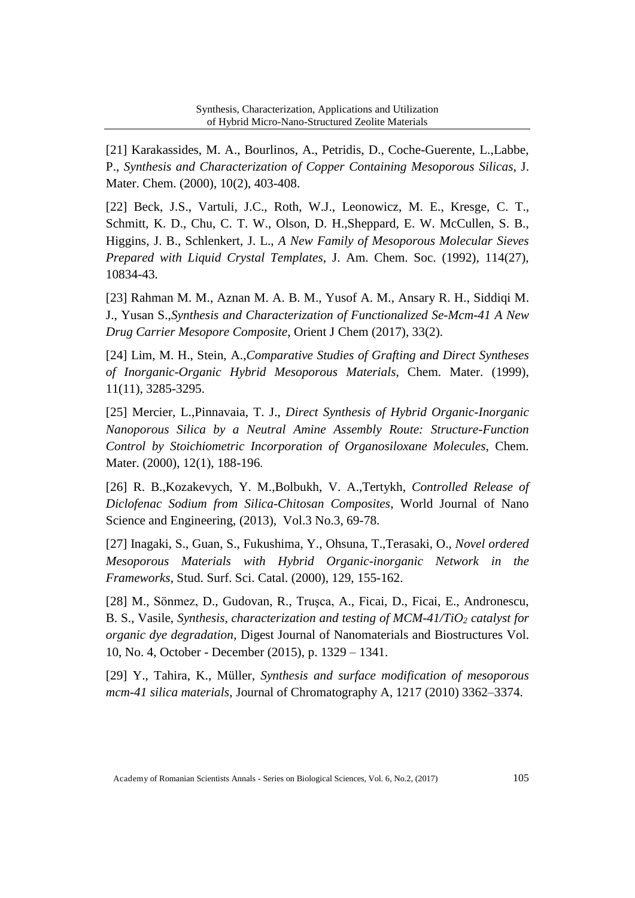[21] Karakassides, M. A., Bourlinos, A., Petridis, D., Coche-Guerente, L.,Labbe, P., *Synthesis and Characterization of Copper Containing Mesoporous Silicas*, J. Mater. Chem. (2000), 10(2), 403-408.

[22] Beck, J.S., Vartuli, J.C., Roth, W.J., Leonowicz, M. E., Kresge, C. T., Schmitt, K. D., Chu, C. T. W., Olson, D. H.,Sheppard, E. W. McCullen, S. B., Higgins, J. B., Schlenkert, J. L., *A New Family of Mesoporous Molecular Sieves Prepared with Liquid Crystal Templates*, J. Am. Chem. Soc. (1992), 114(27), 10834-43.

[23] Rahman M. M., Aznan M. A. B. M., Yusof A. M., Ansary R. H., Siddiqi M. J., Yusan S.,*Synthesis and Characterization of Functionalized Se-Mcm-41 A New Drug Carrier Mesopore Composite*, Orient J Chem (2017), 33(2).

[24] Lim, M. H., Stein, A.,*Comparative Studies of Grafting and Direct Syntheses of Inorganic-Organic Hybrid Mesoporous Materials*, Chem. Mater. (1999), 11(11), 3285-3295.

[25] Mercier, L.,Pinnavaia, T. J., *Direct Synthesis of Hybrid Organic-Inorganic Nanoporous Silica by a Neutral Amine Assembly Route: Structure-Function Control by Stoichiometric Incorporation of Organosiloxane Molecules*, Chem. Mater. (2000), 12(1), 188-196.

[26] R. B.,Kozakevych, Y. M.,Bolbukh, V. A.,Tertykh, *Controlled Release of Diclofenac Sodium from Silica-Chitosan Composites*, World Journal of Nano Science and Engineering, (2013), Vol.3 No.3, 69-78.

[27] Inagaki, S., Guan, S., Fukushima, Y., Ohsuna, T.,Terasaki, O., *Novel ordered Mesoporous Materials with Hybrid Organic-inorganic Network in the Frameworks*, Stud. Surf. Sci. Catal. (2000), 129, 155-162.

[28] M., Sönmez, D., Gudovan, R., Truşca, A., Ficai, D., Ficai, E., Andronescu, B. S., Vasile, *Synthesis, characterization and testing of MCM-41/TiO<sup>2</sup> catalyst for organic dye degradation*, Digest Journal of Nanomaterials and Biostructures Vol. 10, No. 4, October - December (2015), p. 1329 – 1341.

[29] Y., Tahira, K., Müller, *Synthesis and surface modification of mesoporous mcm-41 silica materials*, Journal of Chromatography A, 1217 (2010) 3362–3374.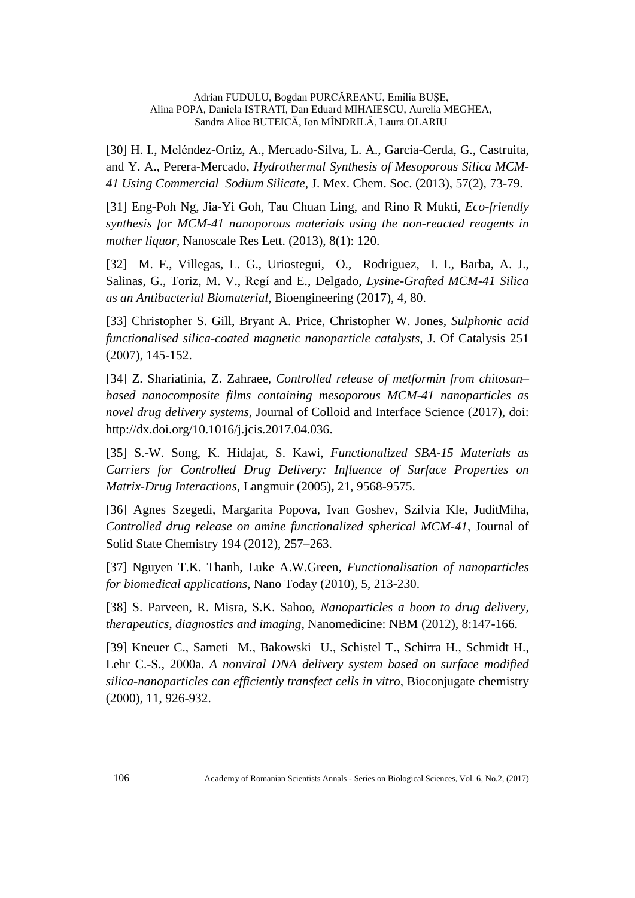[30] H. I., Meléndez-Ortiz, A., Mercado-Silva, L. A., García-Cerda, G., Castruita, and Y. A., Perera-Mercado, *Hydrothermal Synthesis of Mesoporous Silica MCM-41 Using Commercial Sodium Silicate*, J. Mex. Chem. Soc. (2013), 57(2), 73-79.

[31] Eng-Poh Ng, Jia-Yi Goh, Tau Chuan Ling, and Rino R Mukti, *Eco-friendly synthesis for MCM-41 nanoporous materials using the non-reacted reagents in mother liquor*, Nanoscale Res Lett. (2013), 8(1): 120.

[32] M. F., Villegas, L. G., Uriostegui, O., Rodríguez, I. I., Barba, A. J., Salinas, G., Toriz, M. V., Regí and E., Delgado, *Lysine-Grafted MCM-41 Silica as an Antibacterial Biomaterial*, Bioengineering (2017), 4, 80.

[33] Christopher S. Gill, Bryant A. Price, Christopher W. Jones, *Sulphonic acid functionalised silica-coated magnetic nanoparticle catalysts*, J. Of Catalysis 251 (2007), 145-152.

[34] Z. Shariatinia, Z. Zahraee, *Controlled release of metformin from chitosan– based nanocomposite films containing mesoporous MCM-41 nanoparticles as novel drug delivery systems*, Journal of Colloid and Interface Science (2017), doi: [http://dx.doi.org/10.1016/j.jcis.2017.04.036.](http://dx.doi.org/10.1016/j.jcis.2017.04.036)

[35] S.-W. Song, K. Hidajat, S. Kawi, *Functionalized SBA-15 Materials as Carriers for Controlled Drug Delivery: Influence of Surface Properties on Matrix-Drug Interactions*, Langmuir (2005)**,** 21, 9568-9575.

[36] Agnes Szegedi, Margarita Popova, Ivan Goshev, Szilvia Kle, JuditMiha, *Controlled drug release on amine functionalized spherical MCM-41*, Journal of Solid State Chemistry 194 (2012), 257–263.

[37] Nguyen T.K. Thanh, Luke A.W.Green, *Functionalisation of nanoparticles for biomedical applications*, Nano Today (2010), 5, 213-230.

[38] S. Parveen, R. Misra, S.K. Sahoo, *Nanoparticles a boon to drug delivery, therapeutics, diagnostics and imaging*, Nanomedicine: NBM (2012), 8:147-166.

[39] Kneuer C., Sameti M., Bakowski U., Schistel T., Schirra H., Schmidt H., Lehr C.-S., 2000a. *A nonviral DNA delivery system based on surface modified silica-nanoparticles can efficiently transfect cells in vitro*, Bioconjugate chemistry (2000), 11, 926-932.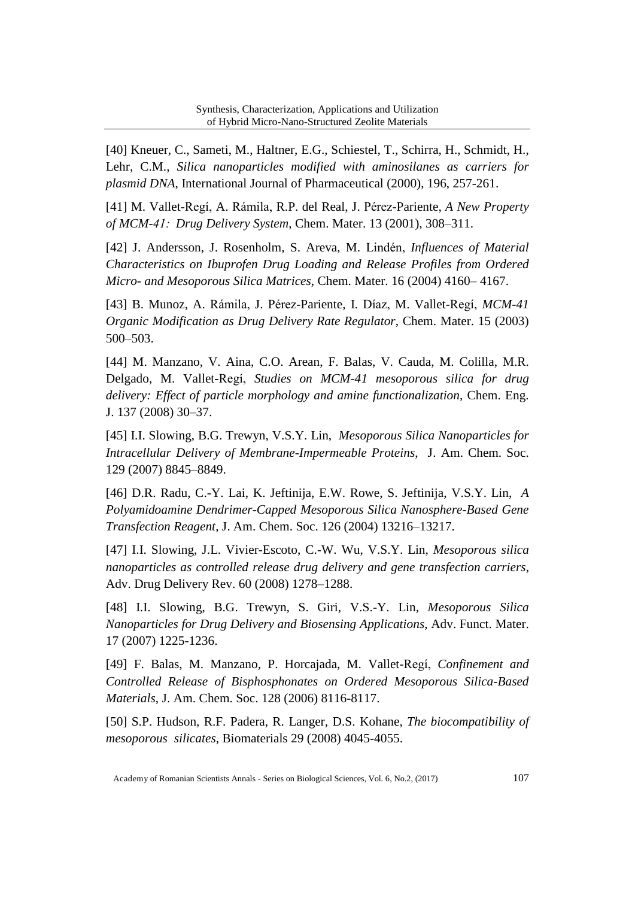[40] Kneuer, C., Sameti, M., Haltner, E.G., Schiestel, T., Schirra, H., Schmidt, H., Lehr, C.M., *Silica nanoparticles modified with aminosilanes as carriers for plasmid DNA*, International Journal of Pharmaceutical (2000), 196, 257-261.

[41] M. Vallet-Regí, A. Rámila, R.P. del Real, J. Pérez-Pariente, *A New Property of MCM-41:  Drug Delivery System*, Chem. Mater. 13 (2001), 308–311.

[42] J. Andersson, J. Rosenholm, S. Areva, M. Lindén, *Influences of Material Characteristics on Ibuprofen Drug Loading and Release Profiles from Ordered Micro- and Mesoporous Silica Matrices*, Chem. Mater. 16 (2004) 4160– 4167.

[43] B. Munoz, A. Rámila, J. Pérez-Pariente, I. Díaz, M. Vallet-Regí, *MCM-41 Organic Modification as Drug Delivery Rate Regulator*, Chem. Mater. 15 (2003) 500–503.

[44] M. Manzano, V. Aina, C.O. Arean, F. Balas, V. Cauda, M. Colilla, M.R. Delgado, M. Vallet**-**Regí, *Studies on MCM-41 mesoporous silica for drug delivery: Effect of particle morphology and amine functionalization*, Chem. Eng. J. 137 (2008) 30–37.

[45] I.I. Slowing, B.G. Trewyn, V.S.Y. Lin, *Mesoporous Silica Nanoparticles for Intracellular Delivery of Membrane-Impermeable Proteins*, J. Am. Chem. Soc. 129 (2007) 8845–8849.

[46] D.R. Radu, C.-Y. Lai, K. Jeftinija, E.W. Rowe, S. Jeftinija, V.S.Y. Lin, *A Polyamidoamine Dendrimer-Capped Mesoporous Silica Nanosphere-Based Gene Transfection Reagent*, J. Am. Chem. Soc. 126 (2004) 13216–13217.

[47] I.I. Slowing, J.L. Vivier-Escoto, C.-W. Wu, V.S.Y. Lin, *Mesoporous silica nanoparticles as controlled release drug delivery and gene transfection carriers*, Adv. Drug Delivery Rev. 60 (2008) 1278–1288.

[48] I.I. Slowing, B.G. Trewyn, S. Giri, V.S.-Y. Lin, *Mesoporous Silica Nanoparticles for Drug Delivery and Biosensing Applications*, Adv. Funct. Mater. 17 (2007) 1225-1236.

[49] F. Balas, M. Manzano, P. Horcajada, M. Vallet-Regí, *Confinement and Controlled Release of Bisphosphonates on Ordered Mesoporous Silica-Based Materials*, J. Am. Chem. Soc. 128 (2006) 8116-8117.

[50] S.P. Hudson, R.F. Padera, R. Langer, D.S. Kohane, *The biocompatibility of mesoporous silicates*, Biomaterials 29 (2008) 4045-4055.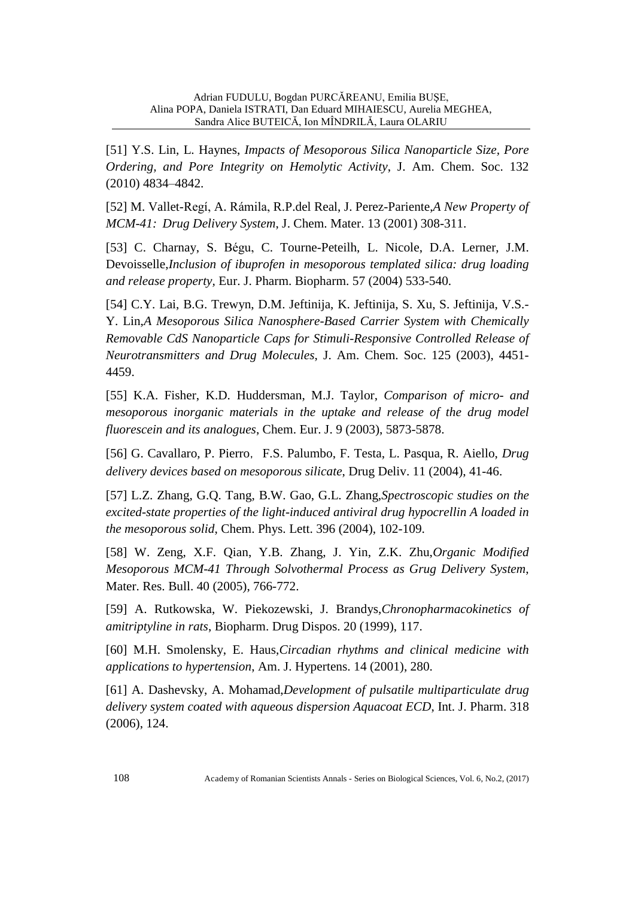[51] Y.S. Lin, L. Haynes, *Impacts of Mesoporous Silica Nanoparticle Size, Pore Ordering, and Pore Integrity on Hemolytic Activity*, J. Am. Chem. Soc. 132 (2010) 4834–4842.

[52] M. Vallet-Regí, A. Rámila, R.P.del Real, J. Perez-Pariente,*A New Property of MCM-41: Drug Delivery System*, J. Chem. Mater. 13 (2001) 308-311.

[53] C. Charnay, S. Bégu, C. Tourne-Peteilh, L. Nicole, D.A. Lerner, J.M. Devoisselle,*Inclusion of ibuprofen in mesoporous templated silica: drug loading and release property,* Eur. J. Pharm. Biopharm. 57 (2004) 533-540.

[54] C.Y. Lai, B.G. Trewyn, D.M. Jeftinija, K. Jeftinija, S. Xu, S. Jeftinija, V.S.- Y. Lin,*A Mesoporous Silica Nanosphere-Based Carrier System with Chemically Removable CdS Nanoparticle Caps for Stimuli-Responsive Controlled Release of Neurotransmitters and Drug Molecules*, J. Am. Chem. Soc. 125 (2003), 4451- 4459.

[55] K.A. Fisher, K.D. Huddersman, M.J. Taylor, *Comparison of micro- and mesoporous inorganic materials in the uptake and release of the drug model fluorescein and its analogues*, Chem. Eur. J. 9 (2003), 5873-5878.

[56] G. Cavallaro, P. Pierro, F.S. Palumbo, F. Testa, L. Pasqua, R. Aiello, *Drug delivery devices based on mesoporous silicate*, Drug Deliv. 11 (2004), 41-46.

[57] L.Z. Zhang, G.Q. Tang, B.W. Gao, G.L. Zhang,*Spectroscopic studies on the excited-state properties of the light-induced antiviral drug hypocrellin A loaded in the mesoporous solid*, Chem. Phys. Lett. 396 (2004), 102-109.

[58] W. Zeng, X.F. Qian, Y.B. Zhang, J. Yin, Z.K. Zhu,*Organic Modified Mesoporous MCM-41 Through Solvothermal Process as Grug Delivery System*, Mater. Res. Bull. 40 (2005), 766-772.

[59] A. Rutkowska, W. Piekozewski, J. Brandys,*Chronopharmacokinetics of amitriptyline in rats*, Biopharm. Drug Dispos. 20 (1999), 117.

[60] M.H. Smolensky, E. Haus,*Circadian rhythms and clinical medicine with applications to hypertension*, Am. J. Hypertens. 14 (2001), 280.

[61] A. Dashevsky, A. Mohamad,*Development of pulsatile multiparticulate drug delivery system coated with aqueous dispersion Aquacoat ECD*, Int. J. Pharm. 318 (2006), 124.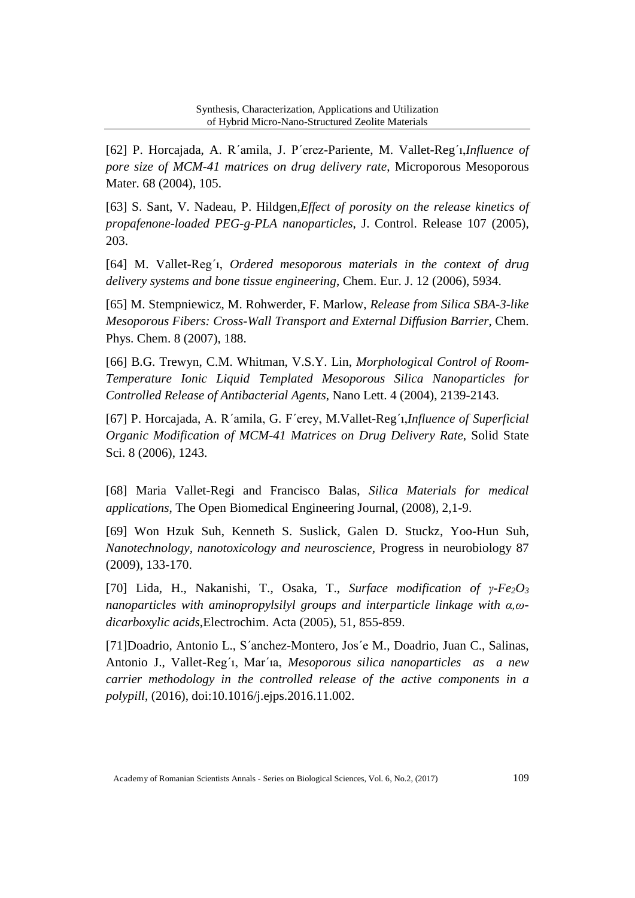[62] P. Horcajada, A. R´amila, J. P´erez-Pariente, M. Vallet-Reg´ı,*Influence of pore size of MCM-41 matrices on drug delivery rate*, Microporous Mesoporous Mater. 68 (2004), 105.

[63] S. Sant, V. Nadeau, P. Hildgen,*Effect of porosity on the release kinetics of propafenone-loaded PEG-g-PLA nanoparticles*, J. Control. Release 107 (2005), 203.

[64] M. Vallet-Reg´ı, *Ordered mesoporous materials in the context of drug delivery systems and bone tissue engineering*, Chem. Eur. J. 12 (2006), 5934.

[65] M. Stempniewicz, M. Rohwerder, F. Marlow, *Release from Silica SBA-3-like Mesoporous Fibers: Cross-Wall Transport and External Diffusion Barrier*, Chem. Phys. Chem. 8 (2007), 188.

[66] B.G. Trewyn, C.M. Whitman, V.S.Y. Lin, *Morphological Control of Room-Temperature Ionic Liquid Templated Mesoporous Silica Nanoparticles for Controlled Release of Antibacterial Agents*, Nano Lett. 4 (2004), 2139-2143.

[67] P. Horcajada, A. R´amila, G. F´erey, M.Vallet-Reg´ı,*Influence of Superficial Organic Modification of MCM-41 Matrices on Drug Delivery Rate*, Solid State Sci. 8 (2006), 1243.

[68] Maria Vallet-Regi and Francisco Balas, *Silica Materials for medical applications*, The Open Biomedical Engineering Journal, (2008), 2,1-9.

[69] Won Hzuk Suh, Kenneth S. Suslick, Galen D. Stuckz, Yoo-Hun Suh, *Nanotechnology, nanotoxicology and neuroscience*, Progress in neurobiology 87 (2009), 133-170.

[70] Lida, H., Nakanishi, T., Osaka, T., *Surface modification of γ-Fe2O<sup>3</sup> nanoparticles with aminopropylsilyl groups and interparticle linkage with α,ωdicarboxylic acids*,Electrochim. Acta (2005), 51, 855-859.

[71]Doadrio, Antonio L., S´anchez-Montero, Jos´e M., Doadrio, Juan C., Salinas, Antonio J., Vallet-Reg´ı, Mar´ıa, *Mesoporous silica nanoparticles as a new carrier methodology in the controlled release of the active components in a polypill*, (2016), doi:10.1016/j.ejps.2016.11.002.